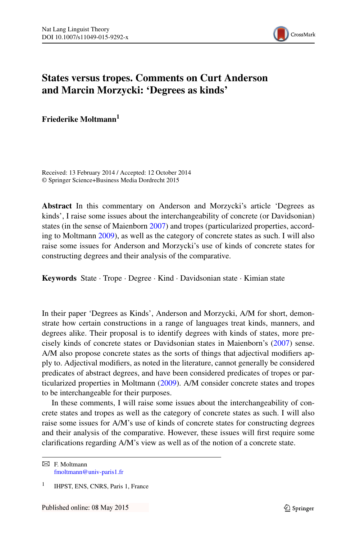

# **States versus tropes. Comments on Curt Anderson and Marcin Morzycki: 'Degrees as kinds'**

**Friederike Moltmann<sup>1</sup>**

Received: 13 February 2014 / Accepted: 12 October 2014 © Springer Science+Business Media Dordrecht 2015

**Abstract** In this commentary on Anderson and Morzycki's article 'Degrees as kinds', I raise some issues about the interchangeability of concrete (or Davidsonian) states (in the sense of Maienborn [2007\)](#page-12-0) and tropes (particularized properties, according to Moltmann [2009](#page-12-1)), as well as the category of concrete states as such. I will also raise some issues for Anderson and Morzycki's use of kinds of concrete states for constructing degrees and their analysis of the comparative.

**Keywords** State · Trope · Degree · Kind · Davidsonian state · Kimian state

In their paper 'Degrees as Kinds', Anderson and Morzycki, A/M for short, demonstrate how certain constructions in a range of languages treat kinds, manners, and degrees alike. Their proposal is to identify degrees with kinds of states, more precisely kinds of concrete states or Davidsonian states in Maienborn's ([2007\)](#page-12-0) sense. A/M also propose concrete states as the sorts of things that adjectival modifiers apply to. Adjectival modifiers, as noted in the literature, cannot generally be considered predicates of abstract degrees, and have been considered predicates of tropes or particularized properties in Moltmann [\(2009\)](#page-12-1). A/M consider concrete states and tropes to be interchangeable for their purposes.

In these comments, I will raise some issues about the interchangeability of concrete states and tropes as well as the category of concrete states as such. I will also raise some issues for A/M's use of kinds of concrete states for constructing degrees and their analysis of the comparative. However, these issues will first require some clarifications regarding A/M's view as well as of the notion of a concrete state.

 $\boxtimes$  F. Moltmann [fmoltmann@univ-paris1.fr](mailto:fmoltmann@univ-paris1.fr)

<sup>1</sup> IHPST, ENS, CNRS, Paris 1, France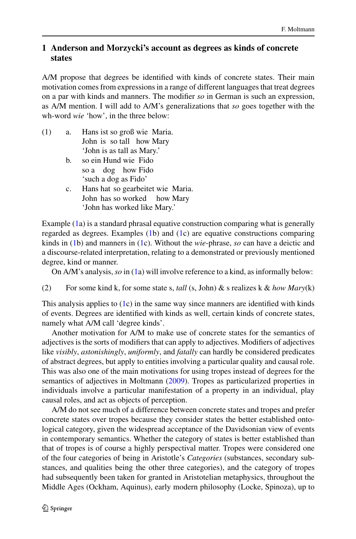## <span id="page-1-0"></span>**1 Anderson and Morzycki's account as degrees as kinds of concrete states**

A/M propose that degrees be identified with kinds of concrete states. Their main motivation comes from expressions in a range of different languages that treat degrees on a par with kinds and manners. The modifier *so* in German is such an expression, as A/M mention. I will add to A/M's generalizations that *so* goes together with the wh-word *wie* 'how', in the three below:

- (1) a. Hans ist so groß wie Maria. John is so tall how Mary 'John is as tall as Mary.'
	- b. so ein Hund wie Fido so a dog how Fido 'such a dog as Fido'
	- c. Hans hat so gearbeitet wie Maria. John has so worked how Mary 'John has worked like Mary.'

<span id="page-1-1"></span>Example ([1a](#page-1-0)) is a standard phrasal equative construction comparing what is generally regarded as degrees. Examples ([1](#page-1-0)b) and [\(1](#page-1-0)c) are equative constructions comparing kinds in ([1b](#page-1-0)) and manners in ([1c](#page-1-0)). Without the *wie*-phrase, *so* can have a deictic and a discourse-related interpretation, relating to a demonstrated or previously mentioned degree, kind or manner.

On A/M's analysis, *so* in ([1a](#page-1-0)) will involve reference to a kind, as informally below:

(2) For some kind k, for some state s, *tall* (s, John) & s realizes k & *how Mary*(k)

This analysis applies to  $(1c)$  $(1c)$  $(1c)$  in the same way since manners are identified with kinds of events. Degrees are identified with kinds as well, certain kinds of concrete states, namely what A/M call 'degree kinds'.

Another motivation for A/M to make use of concrete states for the semantics of adjectives is the sorts of modifiers that can apply to adjectives. Modifiers of adjectives like *visibly*, *astonishingly*, *uniformly*, and *fatally* can hardly be considered predicates of abstract degrees, but apply to entities involving a particular quality and causal role. This was also one of the main motivations for using tropes instead of degrees for the semantics of adjectives in Moltmann [\(2009](#page-12-1)). Tropes as particularized properties in individuals involve a particular manifestation of a property in an individual, play causal roles, and act as objects of perception.

A/M do not see much of a difference between concrete states and tropes and prefer concrete states over tropes because they consider states the better established ontological category, given the widespread acceptance of the Davidsonian view of events in contemporary semantics. Whether the category of states is better established than that of tropes is of course a highly perspectival matter. Tropes were considered one of the four categories of being in Aristotle's *Categories* (substances, secondary substances, and qualities being the other three categories), and the category of tropes had subsequently been taken for granted in Aristotelian metaphysics, throughout the Middle Ages (Ockham, Aquinus), early modern philosophy (Locke, Spinoza), up to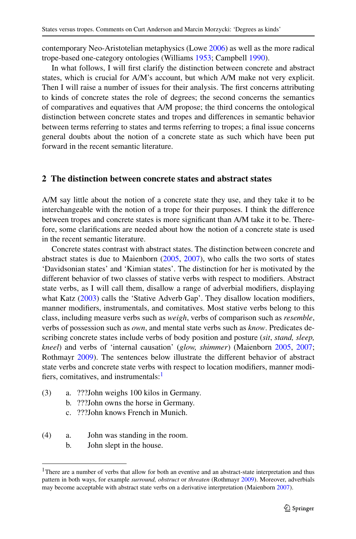contemporary Neo-Aristotelian metaphysics (Lowe [2006](#page-12-2)) as well as the more radical trope-based one-category ontologies (Williams [1953;](#page-12-3) Campbell [1990](#page-12-4)).

In what follows, I will first clarify the distinction between concrete and abstract states, which is crucial for A/M's account, but which A/M make not very explicit. Then I will raise a number of issues for their analysis. The first concerns attributing to kinds of concrete states the role of degrees; the second concerns the semantics of comparatives and equatives that A/M propose; the third concerns the ontological distinction between concrete states and tropes and differences in semantic behavior between terms referring to states and terms referring to tropes; a final issue concerns general doubts about the notion of a concrete state as such which have been put forward in the recent semantic literature.

#### **2 The distinction between concrete states and abstract states**

A/M say little about the notion of a concrete state they use, and they take it to be interchangeable with the notion of a trope for their purposes. I think the difference between tropes and concrete states is more significant than A/M take it to be. Therefore, some clarifications are needed about how the notion of a concrete state is used in the recent semantic literature.

Concrete states contrast with abstract states. The distinction between concrete and abstract states is due to Maienborn [\(2005](#page-12-5), [2007](#page-12-0)), who calls the two sorts of states 'Davidsonian states' and 'Kimian states'. The distinction for her is motivated by the different behavior of two classes of stative verbs with respect to modifiers. Abstract state verbs, as I will call them, disallow a range of adverbial modifiers, displaying what Katz [\(2003](#page-12-6)) calls the 'Stative Adverb Gap'. They disallow location modifiers, manner modifiers, instrumentals, and comitatives. Most stative verbs belong to this class, including measure verbs such as *weigh*, verbs of comparison such as *resemble*, verbs of possession such as *own*, and mental state verbs such as *know*. Predicates describing concrete states include verbs of body position and posture (*sit*, *stand, sleep, kneel*) and verbs of 'internal causation' (*glow, shimmer*) (Maienborn [2005](#page-12-5), [2007;](#page-12-0) Rothmayr [2009](#page-12-7)). The sentences below illustrate the different behavior of abstract state verbs and concrete state verbs with respect to location modifiers, manner modi-fiers, comitatives, and instrumentals:<sup>[1](#page-2-0)</sup>

- <span id="page-2-0"></span>(3) a. ???John weighs 100 kilos in Germany.
	- b. ???John owns the horse in Germany.
	- c. ???John knows French in Munich.
- (4) a. John was standing in the room.
	- b. John slept in the house.

<sup>&</sup>lt;sup>1</sup>There are a number of verbs that allow for both an eventive and an abstract-state interpretation and thus pattern in both ways, for example *surround, obstruct* or *threaten* (Rothmayr [2009\)](#page-12-7). Moreover, adverbials may become acceptable with abstract state verbs on a derivative interpretation (Maienborn [2007\)](#page-12-0).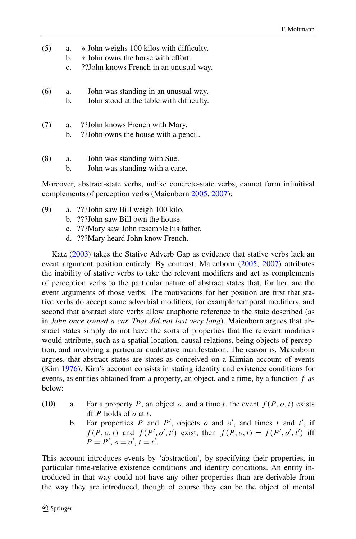- (5) a. ∗ John weighs 100 kilos with difficulty.
	- b. ∗ John owns the horse with effort.
	- c. ??John knows French in an unusual way.
- (6) a. John was standing in an unusual way. b. John stood at the table with difficulty.
- (7) a. ??John knows French with Mary. b. ??John owns the house with a pencil.
- (8) a. John was standing with Sue.
	- b. John was standing with a cane.

Moreover, abstract-state verbs, unlike concrete-state verbs, cannot form infinitival complements of perception verbs (Maienborn [2005](#page-12-5), [2007](#page-12-0)):

- (9) a. ???John saw Bill weigh 100 kilo.
	- b. ???John saw Bill own the house.
	- c. ???Mary saw John resemble his father.
	- d. ???Mary heard John know French.

Katz [\(2003](#page-12-6)) takes the Stative Adverb Gap as evidence that stative verbs lack an event argument position entirely. By contrast, Maienborn [\(2005](#page-12-5), [2007](#page-12-0)) attributes the inability of stative verbs to take the relevant modifiers and act as complements of perception verbs to the particular nature of abstract states that, for her, are the event arguments of those verbs. The motivations for her position are first that stative verbs do accept some adverbial modifiers, for example temporal modifiers, and second that abstract state verbs allow anaphoric reference to the state described (as in *John once owned a car. That did not last very long*). Maienborn argues that abstract states simply do not have the sorts of properties that the relevant modifiers would attribute, such as a spatial location, causal relations, being objects of perception, and involving a particular qualitative manifestation. The reason is, Maienborn argues, that abstract states are states as conceived on a Kimian account of events (Kim [1976\)](#page-12-8). Kim's account consists in stating identity and existence conditions for events, as entities obtained from a property, an object, and a time, by a function *f* as below:

- (10) a. For a property *P*, an object *o*, and a time *t*, the event  $f(P, o, t)$  exists iff *P* holds of *o* at *t*.
	- b. For properties *P* and *P'*, objects  $o$  and  $o'$ , and times  $t$  and  $t'$ , if *f*(*P*,*o*,*t*) and *f*(*P'*,*o'*,*t'*) exist, then *f*(*P*,*o*,*t*) = *f*(*P'*,*o'*,*t'*) iff  $P = P', o = o', t = t'.$

This account introduces events by 'abstraction', by specifying their properties, in particular time-relative existence conditions and identity conditions. An entity introduced in that way could not have any other properties than are derivable from the way they are introduced, though of course they can be the object of mental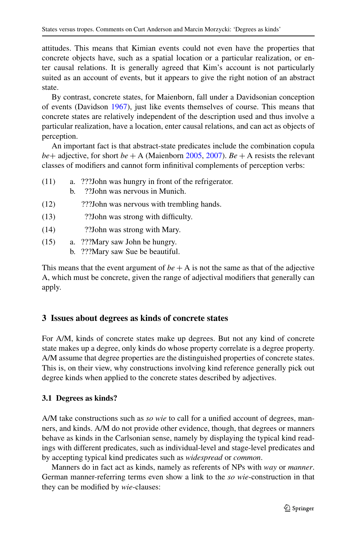attitudes. This means that Kimian events could not even have the properties that concrete objects have, such as a spatial location or a particular realization, or enter causal relations. It is generally agreed that Kim's account is not particularly suited as an account of events, but it appears to give the right notion of an abstract state.

By contrast, concrete states, for Maienborn, fall under a Davidsonian conception of events (Davidson [1967](#page-12-9)), just like events themselves of course. This means that concrete states are relatively independent of the description used and thus involve a particular realization, have a location, enter causal relations, and can act as objects of perception.

An important fact is that abstract-state predicates include the combination copula *be*+ adjective, for short *be* + A (Maienborn [2005](#page-12-5), [2007](#page-12-0)). *Be* + A resists the relevant classes of modifiers and cannot form infinitival complements of perception verbs:

- (11) a. ???John was hungry in front of the refrigerator. b. ??John was nervous in Munich.
- (12) ???John was nervous with trembling hands.
- (13) ??John was strong with difficulty.
- (14) ??John was strong with Mary.
- (15) a. ???Mary saw John be hungry.
	- b. ???Mary saw Sue be beautiful.

This means that the event argument of  $be + A$  is not the same as that of the adjective A, which must be concrete, given the range of adjectival modifiers that generally can apply.

## **3 Issues about degrees as kinds of concrete states**

For A/M, kinds of concrete states make up degrees. But not any kind of concrete state makes up a degree, only kinds do whose property correlate is a degree property. A/M assume that degree properties are the distinguished properties of concrete states. This is, on their view, why constructions involving kind reference generally pick out degree kinds when applied to the concrete states described by adjectives.

## **3.1 Degrees as kinds?**

A/M take constructions such as *so wie* to call for a unified account of degrees, manners, and kinds. A/M do not provide other evidence, though, that degrees or manners behave as kinds in the Carlsonian sense, namely by displaying the typical kind readings with different predicates, such as individual-level and stage-level predicates and by accepting typical kind predicates such as *widespread* or *common*.

Manners do in fact act as kinds, namely as referents of NPs with *way* or *manner*. German manner-referring terms even show a link to the *so wie*-construction in that they can be modified by *wie*-clauses: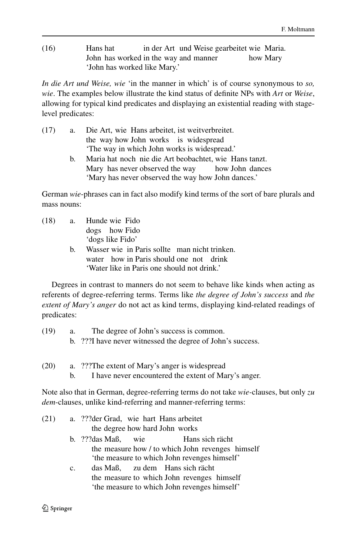(16) Hans hat John has worked in the way and manner in der Art und Weise gearbeitet wie Maria. how Mary 'John has worked like Mary.'

*In die Art und Weise, wie* 'in the manner in which' is of course synonymous to *so, wie*. The examples below illustrate the kind status of definite NPs with *Art* or *Weise*, allowing for typical kind predicates and displaying an existential reading with stagelevel predicates:

| (17) | а. | Die Art, wie Hans arbeitet, ist weitverbreitet. |
|------|----|-------------------------------------------------|
|      |    | the way how John works is widespread            |
|      |    | 'The way in which John works is widespread.'    |

b. Maria hat noch nie die Art beobachtet, wie Hans tanzt. Mary has never observed the way how John dances 'Mary has never observed the way how John dances.'

German *wie*-phrases can in fact also modify kind terms of the sort of bare plurals and mass nouns:

- (18) a. Hunde wie Fido dogs how Fido 'dogs like Fido'
	- b. Wasser wie in Paris sollte man nicht trinken. water how in Paris should one not drink 'Water like in Paris one should not drink.'

Degrees in contrast to manners do not seem to behave like kinds when acting as referents of degree-referring terms. Terms like *the degree of John's success* and *the extent of Mary's anger* do not act as kind terms, displaying kind-related readings of predicates:

- (19) a. The degree of John's success is common. b. ???I have never witnessed the degree of John's success.
- (20) a. ???The extent of Mary's anger is widespread
	- b. I have never encountered the extent of Mary's anger.

Note also that in German, degree-referring terms do not take *wie-*clauses, but only *zu dem*-clauses, unlike kind-referring and manner-referring terms:

(21) a. ???der Grad, wie hart Hans arbeitet the degree how hard John works b. ???das Maß, the measure how / to which John revenges himself wie Hans sich rächt 'the measure to which John revenges himself' c. das Maß, the measure to which John revenges himself zu dem Hans sich rächt 'the measure to which John revenges himself'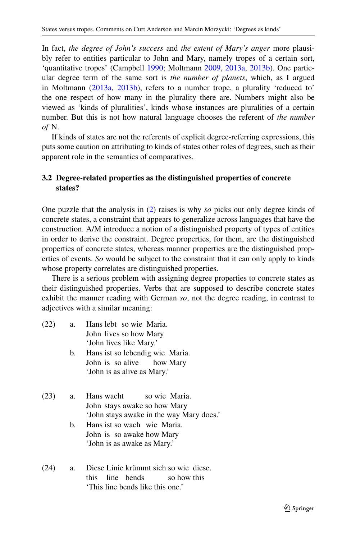In fact, *the degree of John's success* and *the extent of Mary's anger* more plausibly refer to entities particular to John and Mary, namely tropes of a certain sort, 'quantitative tropes' (Campbell [1990;](#page-12-4) Moltmann [2009](#page-12-1), [2013a,](#page-12-10) [2013b](#page-12-11)). One particular degree term of the same sort is *the number of planets*, which, as I argued in Moltmann [\(2013a,](#page-12-10) [2013b\)](#page-12-11), refers to a number trope, a plurality 'reduced to' the one respect of how many in the plurality there are. Numbers might also be viewed as 'kinds of pluralities', kinds whose instances are pluralities of a certain number. But this is not how natural language chooses the referent of *the number of* N.

If kinds of states are not the referents of explicit degree-referring expressions, this puts some caution on attributing to kinds of states other roles of degrees, such as their apparent role in the semantics of comparatives.

## **3.2 Degree-related properties as the distinguished properties of concrete states?**

<span id="page-6-0"></span>One puzzle that the analysis in [\(2](#page-1-1)) raises is why *so* picks out only degree kinds of concrete states, a constraint that appears to generalize across languages that have the construction. A/M introduce a notion of a distinguished property of types of entities in order to derive the constraint. Degree properties, for them, are the distinguished properties of concrete states, whereas manner properties are the distinguished properties of events. *So* would be subject to the constraint that it can only apply to kinds whose property correlates are distinguished properties.

There is a serious problem with assigning degree properties to concrete states as their distinguished properties. Verbs that are supposed to describe concrete states exhibit the manner reading with German *so*, not the degree reading, in contrast to adjectives with a similar meaning:

<span id="page-6-2"></span><span id="page-6-1"></span>

| (22) | a. | Hans lebt so wie Maria.<br>John lives so how Mary |
|------|----|---------------------------------------------------|
|      |    | 'John lives like Mary.'                           |
|      | b. | Hans ist so lebendig wie Maria.                   |
|      |    | John is so alive how Mary                         |
|      |    | 'John is as alive as Mary.'                       |
| (23) | a. | Hans wacht<br>so wie Maria.                       |
|      |    | John stays awake so how Mary                      |
|      |    | 'John stays awake in the way Mary does.'          |
|      | b. | Hans ist so wach wie Maria.                       |
|      |    | John is so awake how Mary                         |
|      |    | 'John is as awake as Mary.'                       |

(24) a. Diese Linie krümmt sich so wie diese. this line bends so how this 'This line bends like this one.'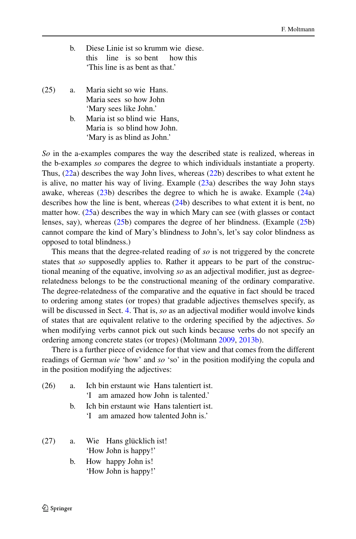- <span id="page-7-0"></span>b. Diese Linie ist so krumm wie diese. this line is so bent how this 'This line is as bent as that.'
- (25) a. Maria sieht so wie Hans. Maria sees so how John 'Mary sees like John.'
	- b. Maria ist so blind wie Hans, Maria is so blind how John. 'Mary is as blind as John.'

*So* in the a-examples compares the way the described state is realized, whereas in the b-examples *so* compares the degree to which individuals instantiate a property. Thus, [\(22](#page-6-0)a) describes the way John lives, whereas ([22b](#page-6-0)) describes to what extent he is alive, no matter his way of living. Example [\(23](#page-6-1)a) describes the way John stays awake, whereas  $(23b)$  $(23b)$  describes the degree to which he is awake. Example  $(24a)$  $(24a)$  $(24a)$ describes how the line is bent, whereas [\(24](#page-6-2)b) describes to what extent it is bent, no matter how. ([25a](#page-7-0)) describes the way in which Mary can see (with glasses or contact lenses, say), whereas [\(25](#page-7-0)b) compares the degree of her blindness. (Example [\(25](#page-7-0)b) cannot compare the kind of Mary's blindness to John's, let's say color blindness as opposed to total blindness.)

This means that the degree-related reading of *so* is not triggered by the concrete states that *so* supposedly applies to. Rather it appears to be part of the constructional meaning of the equative, involving *so* as an adjectival modifier, just as degreerelatedness belongs to be the constructional meaning of the ordinary comparative. The degree-relatedness of the comparative and the equative in fact should be traced to ordering among states (or tropes) that gradable adjectives themselves specify, as will be discussed in Sect. [4.](#page-9-0) That is, *so* as an adjectival modifier would involve kinds of states that are equivalent relative to the ordering specified by the adjectives. *So* when modifying verbs cannot pick out such kinds because verbs do not specify an ordering among concrete states (or tropes) (Moltmann [2009](#page-12-1), [2013b\)](#page-12-11).

<span id="page-7-2"></span><span id="page-7-1"></span>There is a further piece of evidence for that view and that comes from the different readings of German *wie* 'how' and *so* 'so' in the position modifying the copula and in the position modifying the adjectives:

- <span id="page-7-3"></span> $(26)$  a. 'I bin erstaunt wie Hans talentiert ist. am amazed how John is talented.'
	- b. Ich bin erstaunt wie Hans talentiert ist. 'I am amazed how talented John is.'
- (27) a. Wie Hans glücklich ist! 'How John is happy!'
	- b. How happy John is! 'How John is happy!'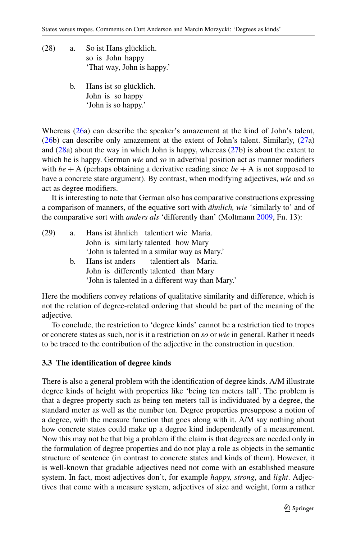- $(28)$  a. so is John happy ist Hans glücklich. 'That way, John is happy.'
	- b. Hans ist so glücklich. John is so happy 'John is so happy.'

Whereas ([26a](#page-7-1)) can describe the speaker's amazement at the kind of John's talent, [\(26](#page-7-1)b) can describe only amazement at the extent of John's talent. Similarly, ([27a](#page-7-2)) and ([28a](#page-7-3)) about the way in which John is happy, whereas ([27b](#page-7-2)) is about the extent to which he is happy. German *wie* and *so* in adverbial position act as manner modifiers with  $be + A$  (perhaps obtaining a derivative reading since  $be + A$  is not supposed to have a concrete state argument). By contrast, when modifying adjectives, *wie* and *so* act as degree modifiers.

It is interesting to note that German also has comparative constructions expressing a comparison of manners, of the equative sort with *ähnlich, wie* 'similarly to' and of the comparative sort with *anders als* 'differently than' (Moltmann [2009,](#page-12-1) Fn. 13):

| (29) | a. | Hans ist ähnlich talentiert wie Maria.           |
|------|----|--------------------------------------------------|
|      |    | John is similarly talented how Mary              |
|      |    | 'John is talented in a similar way as Mary.'     |
|      | h. | Hans ist anders talentiert als Maria.            |
|      |    | John is differently talented than Mary           |
|      |    | 'John is talented in a different way than Mary.' |
|      |    |                                                  |

Here the modifiers convey relations of qualitative similarity and difference, which is not the relation of degree-related ordering that should be part of the meaning of the adjective.

To conclude, the restriction to 'degree kinds' cannot be a restriction tied to tropes or concrete states as such, nor is it a restriction on *so* or *wie* in general. Rather it needs to be traced to the contribution of the adjective in the construction in question.

## **3.3 The identification of degree kinds**

There is also a general problem with the identification of degree kinds. A/M illustrate degree kinds of height with properties like 'being ten meters tall'. The problem is that a degree property such as being ten meters tall is individuated by a degree, the standard meter as well as the number ten. Degree properties presuppose a notion of a degree, with the measure function that goes along with it. A/M say nothing about how concrete states could make up a degree kind independently of a measurement. Now this may not be that big a problem if the claim is that degrees are needed only in the formulation of degree properties and do not play a role as objects in the semantic structure of sentence (in contrast to concrete states and kinds of them). However, it is well-known that gradable adjectives need not come with an established measure system. In fact, most adjectives don't, for example *happy, strong*, and *light*. Adjectives that come with a measure system, adjectives of size and weight, form a rather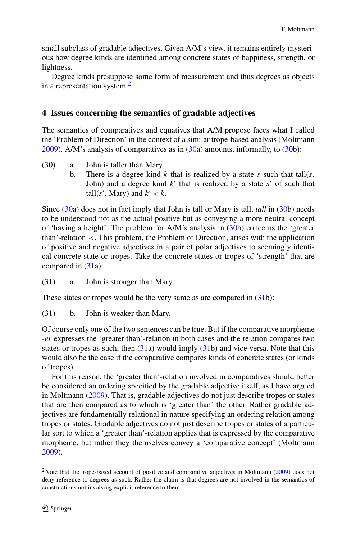<span id="page-9-0"></span>small subclass of gradable adjectives. Given A/M's view, it remains entirely mysterious how degree kinds are identified among concrete states of happiness, strength, or lightness.

<span id="page-9-2"></span>Degree kinds presuppose some form of measurement and thus degrees as objects in a representation system[.2](#page-9-1)

#### **4 Issues concerning the semantics of gradable adjectives**

The semantics of comparatives and equatives that A/M propose faces what I called the 'Problem of Direction' in the context of a similar trope-based analysis (Moltmann [2009\)](#page-12-1). A/M's analysis of comparatives as in ([30a](#page-9-2)) amounts, informally, to ([30b](#page-9-2)):

- (30) a. John is taller than Mary.
	- b. There is a degree kind  $k$  that is realized by a state  $s$  such that tall( $s$ , John) and a degree kind  $k'$  that is realized by a state  $s'$  of such that tall( $s'$ , Mary) and  $k' < k$ .

<span id="page-9-3"></span>Since ([30a](#page-9-2)) does not in fact imply that John is tall or Mary is tall, *tall* in [\(30b](#page-9-2)) needs to be understood not as the actual positive but as conveying a more neutral concept of 'having a height'. The problem for A/M's analysis in [\(30](#page-9-2)b) concerns the 'greater than'-relation *<*. This problem, the Problem of Direction, arises with the application of positive and negative adjectives in a pair of polar adjectives to seemingly identical concrete state or tropes. Take the concrete states or tropes of 'strength' that are compared in [\(31](#page-9-3)a):

(31) a. John is stronger than Mary.

These states or tropes would be the very same as are compared in [\(31b](#page-9-3)):

(31) b. John is weaker than Mary.

Of course only one of the two sentences can be true. But if the comparative morpheme -*er* expresses the 'greater than'-relation in both cases and the relation compares two states or tropes as such, then  $(31a)$  $(31a)$  $(31a)$  would imply  $(31b)$  $(31b)$  and vice versa. Note that this would also be the case if the comparative compares kinds of concrete states (or kinds of tropes).

<span id="page-9-1"></span>For this reason, the 'greater than'-relation involved in comparatives should better be considered an ordering specified by the gradable adjective itself, as I have argued in Moltmann [\(2009](#page-12-1)). That is, gradable adjectives do not just describe tropes or states that are then compared as to which is 'greater than' the other. Rather gradable adjectives are fundamentally relational in nature specifying an ordering relation among tropes or states. Gradable adjectives do not just describe tropes or states of a particular sort to which a 'greater than'-relation applies that is expressed by the comparative morpheme, but rather they themselves convey a 'comparative concept' (Moltmann [2009\)](#page-12-1).

<sup>&</sup>lt;sup>2</sup>Note that the trope-based account of positive and comparative adjectives in Moltmann [\(2009](#page-12-1)) does not deny reference to degrees as such. Rather the claim is that degrees are not involved in the semantics of constructions not involving explicit reference to them.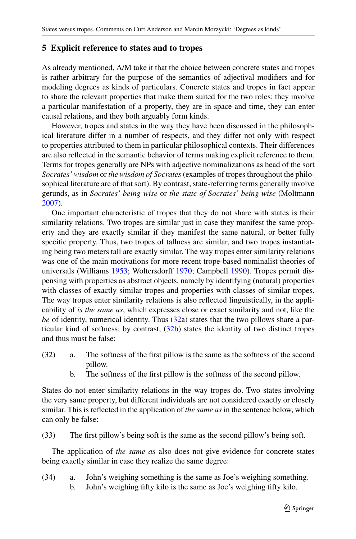# **5 Explicit reference to states and to tropes**

As already mentioned, A/M take it that the choice between concrete states and tropes is rather arbitrary for the purpose of the semantics of adjectival modifiers and for modeling degrees as kinds of particulars. Concrete states and tropes in fact appear to share the relevant properties that make them suited for the two roles: they involve a particular manifestation of a property, they are in space and time, they can enter causal relations, and they both arguably form kinds.

However, tropes and states in the way they have been discussed in the philosophical literature differ in a number of respects, and they differ not only with respect to properties attributed to them in particular philosophical contexts. Their differences are also reflected in the semantic behavior of terms making explicit reference to them. Terms for tropes generally are NPs with adjective nominalizations as head of the sort *Socrates' wisdom* or *the wisdom of Socrates*(examples of tropes throughout the philosophical literature are of that sort). By contrast, state-referring terms generally involve gerunds, as in *Socrates' being wise* or *the state of Socrates' being wise* (Moltmann [2007\)](#page-12-12).

<span id="page-10-0"></span>One important characteristic of tropes that they do not share with states is their similarity relations. Two tropes are similar just in case they manifest the same property and they are exactly similar if they manifest the same natural, or better fully specific property. Thus, two tropes of tallness are similar, and two tropes instantiating being two meters tall are exactly similar. The way tropes enter similarity relations was one of the main motivations for more recent trope-based nominalist theories of universals (Williams [1953;](#page-12-3) Woltersdorff [1970](#page-12-13); Campbell [1990\)](#page-12-4). Tropes permit dispensing with properties as abstract objects, namely by identifying (natural) properties with classes of exactly similar tropes and properties with classes of similar tropes. The way tropes enter similarity relations is also reflected linguistically, in the applicability of *is the same as*, which expresses close or exact similarity and not, like the *be* of identity, numerical identity. Thus [\(32a](#page-10-0)) states that the two pillows share a particular kind of softness; by contrast, [\(32](#page-10-0)b) states the identity of two distinct tropes and thus must be false:

- (32) a. The softness of the first pillow is the same as the softness of the second pillow.
	- b. The softness of the first pillow is the softness of the second pillow.

States do not enter similarity relations in the way tropes do. Two states involving the very same property, but different individuals are not considered exactly or closely similar. This is reflected in the application of *the same as* in the sentence below, which can only be false:

(33) The first pillow's being soft is the same as the second pillow's being soft.

The application of *the same as* also does not give evidence for concrete states being exactly similar in case they realize the same degree:

- (34) a. John's weighing something is the same as Joe's weighing something.
	- b. John's weighing fifty kilo is the same as Joe's weighing fifty kilo.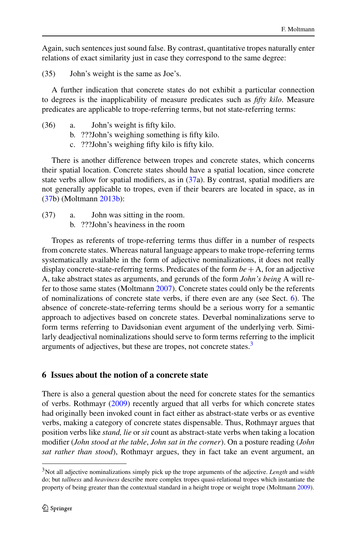Again, such sentences just sound false. By contrast, quantitative tropes naturally enter relations of exact similarity just in case they correspond to the same degree:

(35) John's weight is the same as Joe's.

A further indication that concrete states do not exhibit a particular connection to degrees is the inapplicability of measure predicates such as *fifty kilo*. Measure predicates are applicable to trope-referring terms, but not state-referring terms:

- <span id="page-11-0"></span>(36) a. John's weight is fifty kilo.
	- b. ???John's weighing something is fifty kilo.
	- c. ???John's weighing fifty kilo is fifty kilo.

There is another difference between tropes and concrete states, which concerns their spatial location. Concrete states should have a spatial location, since concrete state verbs allow for spatial modifiers, as in  $(37a)$  $(37a)$  $(37a)$ . By contrast, spatial modifiers are not generally applicable to tropes, even if their bearers are located in space, as in [\(37](#page-11-0)b) (Moltmann [2013b](#page-12-11)):

- (37) a. John was sitting in the room.
	- b. ???John's heaviness in the room

Tropes as referents of trope-referring terms thus differ in a number of respects from concrete states. Whereas natural language appears to make trope-referring terms systematically available in the form of adjective nominalizations, it does not really display concrete-state-referring terms. Predicates of the form *be*+A, for an adjective A, take abstract states as arguments, and gerunds of the form *John's being* A will refer to those same states (Moltmann [2007\)](#page-12-12). Concrete states could only be the referents of nominalizations of concrete state verbs, if there even are any (see Sect. [6\)](#page-11-1). The absence of concrete-state-referring terms should be a serious worry for a semantic approach to adjectives based on concrete states. Deverbal nominalizations serve to form terms referring to Davidsonian event argument of the underlying verb. Similarly deadjectival nominalizations should serve to form terms referring to the implicit arguments of adjectives, but these are tropes, not concrete states.<sup>[3](#page-11-2)</sup>

#### <span id="page-11-1"></span>**6 Issues about the notion of a concrete state**

<span id="page-11-2"></span>There is also a general question about the need for concrete states for the semantics of verbs. Rothmayr [\(2009](#page-12-7)) recently argued that all verbs for which concrete states had originally been invoked count in fact either as abstract-state verbs or as eventive verbs, making a category of concrete states dispensable. Thus, Rothmayr argues that position verbs like *stand, lie* or *sit* count as abstract-state verbs when taking a location modifier (*John stood at the table*, *John sat in the corner*). On a posture reading (*John sat rather than stood*), Rothmayr argues, they in fact take an event argument, an

<sup>3</sup>Not all adjective nominalizations simply pick up the trope arguments of the adjective. *Length* and *width* do; but *tallness* and *heaviness* describe more complex tropes quasi-relational tropes which instantiate the property of being greater than the contextual standard in a height trope or weight trope (Moltmann [2009](#page-12-1)).